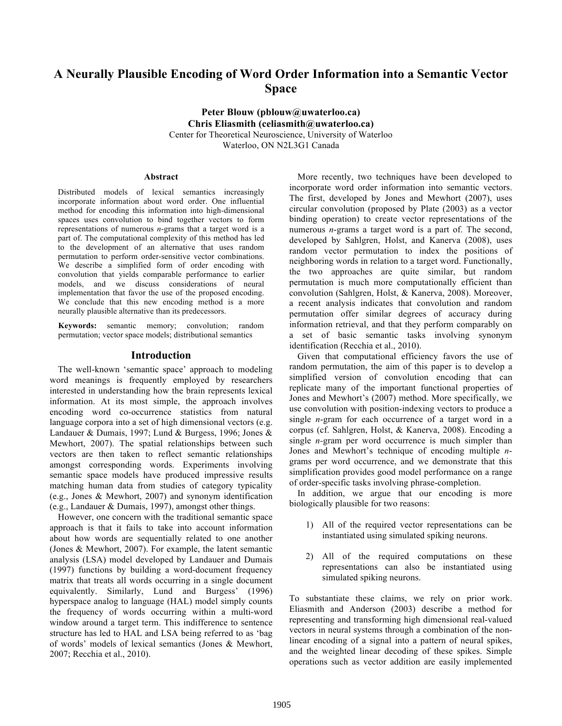# **A Neurally Plausible Encoding of Word Order Information into a Semantic Vector Space**

**Peter Blouw (pblouw@uwaterloo.ca) Chris Eliasmith (celiasmith@uwaterloo.ca)** Center for Theoretical Neuroscience, University of Waterloo Waterloo, ON N2L3G1 Canada

#### **Abstract**

Distributed models of lexical semantics increasingly incorporate information about word order. One influential method for encoding this information into high-dimensional spaces uses convolution to bind together vectors to form representations of numerous *n*-grams that a target word is a part of. The computational complexity of this method has led to the development of an alternative that uses random permutation to perform order-sensitive vector combinations. We describe a simplified form of order encoding with convolution that yields comparable performance to earlier models, and we discuss considerations of neural implementation that favor the use of the proposed encoding. We conclude that this new encoding method is a more neurally plausible alternative than its predecessors.

**Keywords:** semantic memory; convolution; random permutation; vector space models; distributional semantics

## **Introduction**

The well-known 'semantic space' approach to modeling word meanings is frequently employed by researchers interested in understanding how the brain represents lexical information. At its most simple, the approach involves encoding word co-occurrence statistics from natural language corpora into a set of high dimensional vectors (e.g. Landauer & Dumais, 1997; Lund & Burgess, 1996; Jones & Mewhort, 2007). The spatial relationships between such vectors are then taken to reflect semantic relationships amongst corresponding words. Experiments involving semantic space models have produced impressive results matching human data from studies of category typicality (e.g., Jones & Mewhort, 2007) and synonym identification (e.g., Landauer & Dumais, 1997), amongst other things.

However, one concern with the traditional semantic space approach is that it fails to take into account information about how words are sequentially related to one another (Jones & Mewhort, 2007). For example, the latent semantic analysis (LSA) model developed by Landauer and Dumais (1997) functions by building a word-document frequency matrix that treats all words occurring in a single document equivalently. Similarly, Lund and Burgess' (1996) hyperspace analog to language (HAL) model simply counts the frequency of words occurring within a multi-word window around a target term. This indifference to sentence structure has led to HAL and LSA being referred to as 'bag of words' models of lexical semantics (Jones & Mewhort, 2007; Recchia et al., 2010).

More recently, two techniques have been developed to incorporate word order information into semantic vectors. The first, developed by Jones and Mewhort (2007), uses circular convolution (proposed by Plate (2003) as a vector binding operation) to create vector representations of the numerous *n*-grams a target word is a part of. The second, developed by Sahlgren, Holst, and Kanerva (2008), uses random vector permutation to index the positions of neighboring words in relation to a target word. Functionally, the two approaches are quite similar, but random permutation is much more computationally efficient than convolution (Sahlgren, Holst, & Kanerva, 2008). Moreover, a recent analysis indicates that convolution and random permutation offer similar degrees of accuracy during information retrieval, and that they perform comparably on a set of basic semantic tasks involving synonym identification (Recchia et al., 2010).

Given that computational efficiency favors the use of random permutation, the aim of this paper is to develop a simplified version of convolution encoding that can replicate many of the important functional properties of Jones and Mewhort's (2007) method. More specifically, we use convolution with position-indexing vectors to produce a single *n*-gram for each occurrence of a target word in a corpus (cf. Sahlgren, Holst, & Kanerva, 2008). Encoding a single *n-*gram per word occurrence is much simpler than Jones and Mewhort's technique of encoding multiple *n*grams per word occurrence, and we demonstrate that this simplification provides good model performance on a range of order-specific tasks involving phrase-completion.

In addition, we argue that our encoding is more biologically plausible for two reasons:

- 1) All of the required vector representations can be instantiated using simulated spiking neurons.
- 2) All of the required computations on these representations can also be instantiated using simulated spiking neurons.

To substantiate these claims, we rely on prior work. Eliasmith and Anderson (2003) describe a method for representing and transforming high dimensional real-valued vectors in neural systems through a combination of the nonlinear encoding of a signal into a pattern of neural spikes, and the weighted linear decoding of these spikes. Simple operations such as vector addition are easily implemented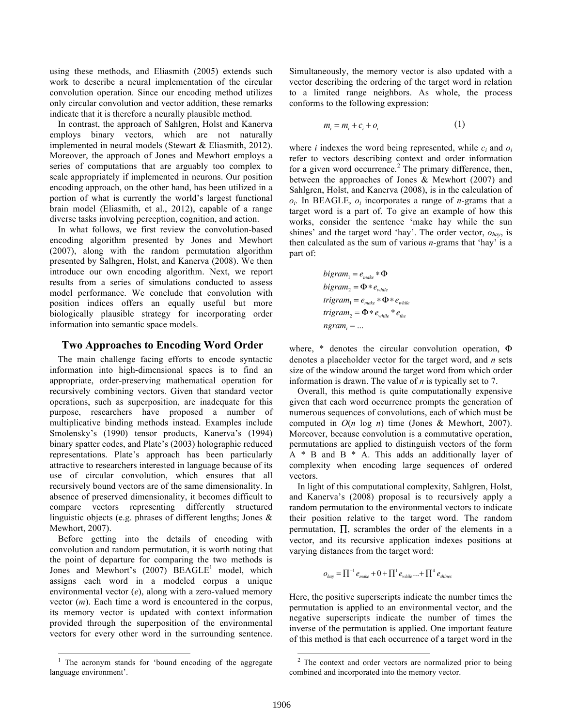using these methods, and Eliasmith (2005) extends such work to describe a neural implementation of the circular convolution operation. Since our encoding method utilizes only circular convolution and vector addition, these remarks indicate that it is therefore a neurally plausible method.

In contrast, the approach of Sahlgren, Holst and Kanerva employs binary vectors, which are not naturally implemented in neural models (Stewart & Eliasmith, 2012). Moreover, the approach of Jones and Mewhort employs a series of computations that are arguably too complex to scale appropriately if implemented in neurons. Our position encoding approach, on the other hand, has been utilized in a portion of what is currently the world's largest functional brain model (Eliasmith, et al., 2012), capable of a range diverse tasks involving perception, cognition, and action.

In what follows, we first review the convolution-based encoding algorithm presented by Jones and Mewhort (2007), along with the random permutation algorithm presented by Salhgren, Holst, and Kanerva (2008). We then introduce our own encoding algorithm. Next, we report results from a series of simulations conducted to assess model performance. We conclude that convolution with position indices offers an equally useful but more biologically plausible strategy for incorporating order information into semantic space models.

## **Two Approaches to Encoding Word Order**

The main challenge facing efforts to encode syntactic information into high-dimensional spaces is to find an appropriate, order-preserving mathematical operation for recursively combining vectors. Given that standard vector operations, such as superposition, are inadequate for this purpose, researchers have proposed a number of multiplicative binding methods instead. Examples include Smolensky's (1990) tensor products, Kanerva's (1994) binary spatter codes, and Plate's (2003) holographic reduced representations. Plate's approach has been particularly attractive to researchers interested in language because of its use of circular convolution, which ensures that all recursively bound vectors are of the same dimensionality. In absence of preserved dimensionality, it becomes difficult to compare vectors representing differently structured linguistic objects (e.g. phrases of different lengths; Jones & Mewhort, 2007).

Before getting into the details of encoding with convolution and random permutation, it is worth noting that the point of departure for comparing the two methods is Jones and Mewhort's  $(2007)$  BEAGLE<sup>1</sup> model, which assigns each word in a modeled corpus a unique environmental vector (*e*), along with a zero-valued memory vector (*m*). Each time a word is encountered in the corpus, its memory vector is updated with context information provided through the superposition of the environmental vectors for every other word in the surrounding sentence.

Simultaneously, the memory vector is also updated with a vector describing the ordering of the target word in relation to a limited range neighbors. As whole, the process conforms to the following expression:

$$
m_i = m_i + c_i + o_i \tag{1}
$$

where *i* indexes the word being represented, while *ci* and *oi* refer to vectors describing context and order information for a given word occurrence.<sup>2</sup> The primary difference, then, between the approaches of Jones & Mewhort (2007) and Sahlgren, Holst, and Kanerva (2008), is in the calculation of *oi*. In BEAGLE, *oi* incorporates a range of *n-*grams that a target word is a part of. To give an example of how this works, consider the sentence 'make hay while the sun shines' and the target word 'hay'. The order vector, *ohay*, is then calculated as the sum of various *n*-grams that 'hay' is a part of:

$$
bigram_1 = e_{make} * \Phi
$$
  
\n
$$
bigram_2 = \Phi * e_{while}
$$
  
\n
$$
trigram_1 = e_{make} * \Phi * e_{while}
$$
  
\n
$$
trigram_2 = \Phi * e_{while} * e_{the}
$$
  
\n
$$
ngram_i = ...
$$

where, \* denotes the circular convolution operation, Φ denotes a placeholder vector for the target word, and *n* sets size of the window around the target word from which order information is drawn. The value of *n* is typically set to 7.

Overall, this method is quite computationally expensive given that each word occurrence prompts the generation of numerous sequences of convolutions, each of which must be computed in *O*(*n* log *n*) time (Jones & Mewhort, 2007). Moreover, because convolution is a commutative operation, permutations are applied to distinguish vectors of the form A \* B and B \* A. This adds an additionally layer of complexity when encoding large sequences of ordered vectors.

In light of this computational complexity, Sahlgren, Holst, and Kanerva's (2008) proposal is to recursively apply a random permutation to the environmental vectors to indicate their position relative to the target word. The random permutation, ∏, scrambles the order of the elements in a vector, and its recursive application indexes positions at varying distances from the target word:

$$
o_{\text{hay}} = \prod^{-1} e_{\text{make}} + 0 + \prod^{1} e_{\text{while}} \dots + \prod^{4} e_{\text{shines}}
$$

Here, the positive superscripts indicate the number times the permutation is applied to an environmental vector, and the negative superscripts indicate the number of times the inverse of the permutation is applied. One important feature of this method is that each occurrence of a target word in the

 $\frac{1}{1}$  The acronym stands for 'bound encoding of the aggregate language environment'.

 $\frac{1}{2}$  $2$  The context and order vectors are normalized prior to being combined and incorporated into the memory vector.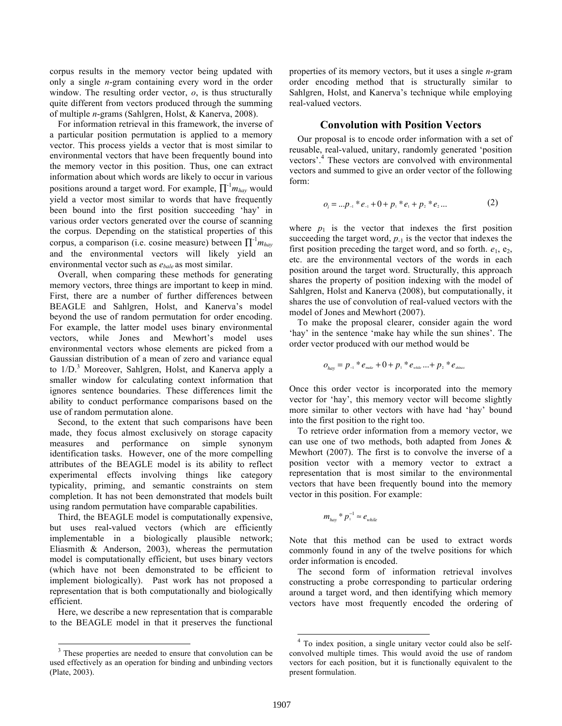corpus results in the memory vector being updated with only a single *n*-gram containing every word in the order window. The resulting order vector, *o*, is thus structurally quite different from vectors produced through the summing of multiple *n*-grams (Sahlgren, Holst, & Kanerva, 2008).

For information retrieval in this framework, the inverse of a particular position permutation is applied to a memory vector. This process yields a vector that is most similar to environmental vectors that have been frequently bound into the memory vector in this position. Thus, one can extract information about which words are likely to occur in various positions around a target word. For example,  $\prod^{-1} m_{\text{hay}}$  would yield a vector most similar to words that have frequently been bound into the first position succeeding 'hay' in various order vectors generated over the course of scanning the corpus. Depending on the statistical properties of this corpus, a comparison (i.e. cosine measure) between ∏-1 *mhay* and the environmental vectors will likely yield an environmental vector such as *ebale* as most similar.

Overall, when comparing these methods for generating memory vectors, three things are important to keep in mind. First, there are a number of further differences between BEAGLE and Sahlgren, Holst, and Kanerva's model beyond the use of random permutation for order encoding. For example, the latter model uses binary environmental vectors, while Jones and Mewhort's model uses environmental vectors whose elements are picked from a Gaussian distribution of a mean of zero and variance equal to 1/D.<sup>3</sup> Moreover, Sahlgren, Holst, and Kanerva apply a smaller window for calculating context information that ignores sentence boundaries. These differences limit the ability to conduct performance comparisons based on the use of random permutation alone.

Second, to the extent that such comparisons have been made, they focus almost exclusively on storage capacity measures and performance on simple synonym identification tasks. However, one of the more compelling attributes of the BEAGLE model is its ability to reflect experimental effects involving things like category typicality, priming, and semantic constraints on stem completion. It has not been demonstrated that models built using random permutation have comparable capabilities.

Third, the BEAGLE model is computationally expensive, but uses real-valued vectors (which are efficiently implementable in a biologically plausible network; Eliasmith & Anderson, 2003), whereas the permutation model is computationally efficient, but uses binary vectors (which have not been demonstrated to be efficient to implement biologically). Past work has not proposed a representation that is both computationally and biologically efficient.

Here, we describe a new representation that is comparable to the BEAGLE model in that it preserves the functional properties of its memory vectors, but it uses a single *n*-gram order encoding method that is structurally similar to Sahlgren, Holst, and Kanerva's technique while employing real-valued vectors.

## **Convolution with Position Vectors**

Our proposal is to encode order information with a set of reusable, real-valued, unitary, randomly generated 'position vectors'.<sup>4</sup> These vectors are convolved with environmental vectors and summed to give an order vector of the following form:

$$
o_i = ...p_{-i} * e_{-i} + 0 + p_i * e_i + p_i * e_2 ... \tag{2}
$$

where  $p_1$  is the vector that indexes the first position succeeding the target word,  $p_{-1}$  is the vector that indexes the first position preceding the target word, and so forth.  $e_1$ ,  $e_2$ , etc. are the environmental vectors of the words in each position around the target word. Structurally, this approach shares the property of position indexing with the model of Sahlgren, Holst and Kanerva (2008), but computationally, it shares the use of convolution of real-valued vectors with the model of Jones and Mewhort (2007).

To make the proposal clearer, consider again the word 'hay' in the sentence 'make hay while the sun shines'. The order vector produced with our method would be

$$
o_{\text{hay}} = p_{-1} * e_{\text{make}} + 0 + p_1 * e_{\text{while}} ... + p_2 * e_{\text{shines}}
$$

Once this order vector is incorporated into the memory vector for 'hay', this memory vector will become slightly more similar to other vectors with have had 'hay' bound into the first position to the right too.

To retrieve order information from a memory vector, we can use one of two methods, both adapted from Jones & Mewhort (2007). The first is to convolve the inverse of a position vector with a memory vector to extract a representation that is most similar to the environmental vectors that have been frequently bound into the memory vector in this position. For example:

$$
m_{\text{hay}} * p_1^{-1} \approx e_{\text{while}}
$$

Note that this method can be used to extract words commonly found in any of the twelve positions for which order information is encoded.

The second form of information retrieval involves constructing a probe corresponding to particular ordering around a target word, and then identifying which memory vectors have most frequently encoded the ordering of

 $\frac{1}{3}$ <sup>3</sup> These properties are needed to ensure that convolution can be used effectively as an operation for binding and unbinding vectors (Plate, 2003).

 $\frac{1}{4}$ <sup>4</sup> To index position, a single unitary vector could also be selfconvolved multiple times. This would avoid the use of random vectors for each position, but it is functionally equivalent to the present formulation.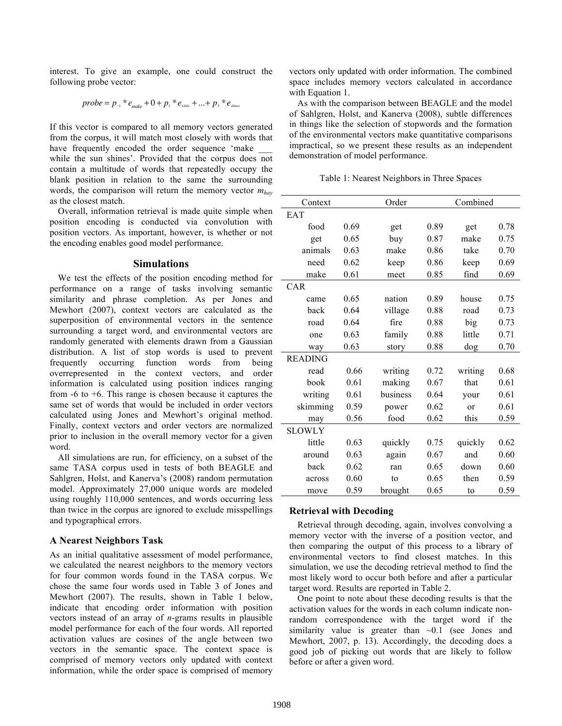interest. To give an example, one could construct the following probe vector:

$$
probe = p_{\text{--}} * e_{\text{make}} + 0 + p_{\text{--}} * e_{\text{white}} + ... + p_{\text{--}} * e_{\text{shines}}
$$

If this vector is compared to all memory vectors generated from the corpus, it will match most closely with words that have frequently encoded the order sequence 'make

while the sun shines'. Provided that the corpus does not contain a multitude of words that repeatedly occupy the blank position in relation to the same the surrounding words, the comparison will return the memory vector *mhay* as the closest match.

Overall, information retrieval is made quite simple when position encoding is conducted via convolution with position vectors. As important, however, is whether or not the encoding enables good model performance.

#### **Simulations**

We test the effects of the position encoding method for performance on a range of tasks involving semantic similarity and phrase completion. As per Jones and Mewhort (2007), context vectors are calculated as the superposition of environmental vectors in the sentence surrounding a target word, and environmental vectors are randomly generated with elements drawn from a Gaussian distribution. A list of stop words is used to prevent frequently occurring function words from being overrepresented in the context vectors, and order information is calculated using position indices ranging from -6 to +6. This range is chosen because it captures the same set of words that would be included in order vectors calculated using Jones and Mewhort's original method. Finally, context vectors and order vectors are normalized prior to inclusion in the overall memory vector for a given word.

All simulations are run, for efficiency, on a subset of the same TASA corpus used in tests of both BEAGLE and Sahlgren, Holst, and Kanerva's (2008) random permutation model. Approximately 27,000 unique words are modeled using roughly 110,000 sentences, and words occurring less than twice in the corpus are ignored to exclude misspellings and typographical errors.

## **A Nearest Neighbors Task**

As an initial qualitative assessment of model performance, we calculated the nearest neighbors to the memory vectors for four common words found in the TASA corpus. We chose the same four words used in Table 3 of Jones and Mewhort (2007). The results, shown in Table 1 below, indicate that encoding order information with position vectors instead of an array of *n*-grams results in plausible model performance for each of the four words. All reported activation values are cosines of the angle between two vectors in the semantic space. The context space is comprised of memory vectors only updated with context information, while the order space is comprised of memory vectors only updated with order information. The combined space includes memory vectors calculated in accordance with Equation 1.

As with the comparison between BEAGLE and the model of Sahlgren, Holst, and Kanerva (2008), subtle differences in things like the selection of stopwords and the formation of the environmental vectors make quantitative comparisons impractical, so we present these results as an independent demonstration of model performance.

Table 1: Nearest Neighbors in Three Spaces

| Context        |      | Order    | Combined |         |      |
|----------------|------|----------|----------|---------|------|
| EAT            |      |          |          |         |      |
| food           | 0.69 | get      | 0.89     | get     | 0.78 |
| get            | 0.65 | buy      | 0.87     | make    | 0.75 |
| animals        | 0.63 | make     | 0.86     | take    | 0.70 |
| need           | 0.62 | keep     | 0.86     | keep    | 0.69 |
| make           | 0.61 | meet     | 0.85     | find    | 0.69 |
| CAR            |      |          |          |         |      |
| came           | 0.65 | nation   | 0.89     | house   | 0.75 |
| back           | 0.64 | village  | 0.88     | road    | 0.73 |
| road           | 0.64 | fire     | 0.88     | big     | 0.73 |
| one            | 0.63 | family   | 0.88     | little  | 0.71 |
| way            | 0.63 | story    | 0.88     | dog     | 0.70 |
| <b>READING</b> |      |          |          |         |      |
| read           | 0.66 | writing  | 0.72     | writing | 0.68 |
| book           | 0.61 | making   | 0.67     | that    | 0.61 |
| writing        | 0.61 | business | 0.64     | your    | 0.61 |
| skimming       | 0.59 | power    | 0.62     | or      | 0.61 |
| may            | 0.56 | food     | 0.62     | this    | 0.59 |
| <b>SLOWLY</b>  |      |          |          |         |      |
| little         | 0.63 | quickly  | 0.75     | quickly | 0.62 |
| around         | 0.63 | again    | 0.67     | and     | 0.60 |
| back           | 0.62 | ran      | 0.65     | down    | 0.60 |
| across         | 0.60 | to       | 0.65     | then    | 0.59 |
| move           | 0.59 | brought  | 0.65     | to      | 0.59 |

### **Retrieval with Decoding**

Retrieval through decoding, again, involves convolving a memory vector with the inverse of a position vector, and then comparing the output of this process to a library of environmental vectors to find closest matches. In this simulation, we use the decoding retrieval method to find the most likely word to occur both before and after a particular target word. Results are reported in Table 2.

One point to note about these decoding results is that the activation values for the words in each column indicate nonrandom correspondence with the target word if the similarity value is greater than  $\sim 0.1$  (see Jones and Mewhort, 2007, p. 13). Accordingly, the decoding does a good job of picking out words that are likely to follow before or after a given word.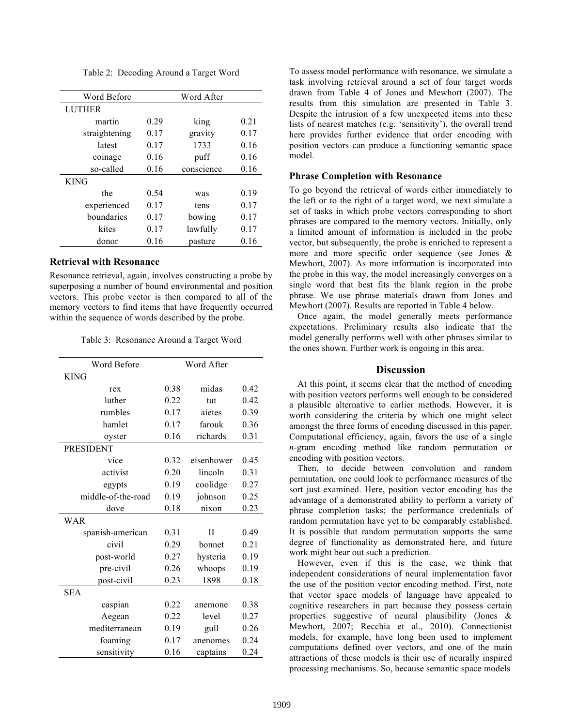|  | Table 2: Decoding Around a Target Word |  |  |  |
|--|----------------------------------------|--|--|--|
|--|----------------------------------------|--|--|--|

| Word Before   |      | Word After |      |
|---------------|------|------------|------|
| <b>LUTHER</b> |      |            |      |
| martin        | 0.29 | king       | 0.21 |
| straightening | 0.17 | gravity    | 0.17 |
| latest        | 0.17 | 1733       | 0.16 |
| coinage       | 0.16 | puff       | 0.16 |
| so-called     | 0.16 | conscience | 0.16 |
| <b>KING</b>   |      |            |      |
| the           | 0.54 | was        | 0.19 |
| experienced   | 0.17 | tens       | 0.17 |
| boundaries    | 0.17 | bowing     | 0.17 |
| kites         | 0.17 | lawfully   | 0.17 |
| donor         | 0.16 | pasture    | 0.16 |

## **Retrieval with Resonance**

Resonance retrieval, again, involves constructing a probe by superposing a number of bound environmental and position vectors. This probe vector is then compared to all of the memory vectors to find items that have frequently occurred within the sequence of words described by the probe.

Table 3: Resonance Around a Target Word

| Word Before        |      | Word After   |      |
|--------------------|------|--------------|------|
| <b>KING</b>        |      |              |      |
| rex                | 0.38 | midas        | 0.42 |
| luther             | 0.22 | tut          | 0.42 |
| rumbles            | 0.17 | aietes       | 0.39 |
| hamlet             | 0.17 | farouk       | 0.36 |
| oyster             | 0.16 | richards     | 0.31 |
| <b>PRESIDENT</b>   |      |              |      |
| vice               | 0.32 | eisenhower   | 0.45 |
| activist           | 0.20 | lincoln      | 0.31 |
| egypts             | 0.19 | coolidge     | 0.27 |
| middle-of-the-road | 0.19 | johnson      | 0.25 |
| dove               | 0.18 | nixon        | 0.23 |
| <b>WAR</b>         |      |              |      |
| spanish-american   | 0.31 | $\mathbf{I}$ | 0.49 |
| civil              | 0.29 | bonnet       | 0.21 |
| post-world         | 0.27 | hysteria     | 0.19 |
| pre-civil          | 0.26 | whoops       | 0.19 |
| post-civil         | 0.23 | 1898         | 0.18 |
| <b>SEA</b>         |      |              |      |
| caspian            | 0.22 | anemone      | 0.38 |
| Aegean             | 0.22 | level        | 0.27 |
| mediterranean      | 0.19 | gull         | 0.26 |
| foaming            | 0.17 | anenomes     | 0.24 |
| sensitivity        | 0.16 | captains     | 0.24 |

To assess model performance with resonance, we simulate a task involving retrieval around a set of four target words drawn from Table 4 of Jones and Mewhort (2007). The results from this simulation are presented in Table 3. Despite the intrusion of a few unexpected items into these lists of nearest matches (e.g. 'sensitivity'), the overall trend here provides further evidence that order encoding with position vectors can produce a functioning semantic space model.

## **Phrase Completion with Resonance**

To go beyond the retrieval of words either immediately to the left or to the right of a target word, we next simulate a set of tasks in which probe vectors corresponding to short phrases are compared to the memory vectors. Initially, only a limited amount of information is included in the probe vector, but subsequently, the probe is enriched to represent a more and more specific order sequence (see Jones & Mewhort, 2007). As more information is incorporated into the probe in this way, the model increasingly converges on a single word that best fits the blank region in the probe phrase. We use phrase materials drawn from Jones and Mewhort (2007). Results are reported in Table 4 below.

Once again, the model generally meets performance expectations. Preliminary results also indicate that the model generally performs well with other phrases similar to the ones shown. Further work is ongoing in this area.

## **Discussion**

At this point, it seems clear that the method of encoding with position vectors performs well enough to be considered a plausible alternative to earlier methods. However, it is worth considering the criteria by which one might select amongst the three forms of encoding discussed in this paper. Computational efficiency, again, favors the use of a single *n*-gram encoding method like random permutation or encoding with position vectors.

Then, to decide between convolution and random permutation, one could look to performance measures of the sort just examined. Here, position vector encoding has the advantage of a demonstrated ability to perform a variety of phrase completion tasks; the performance credentials of random permutation have yet to be comparably established. It is possible that random permutation supports the same degree of functionality as demonstrated here, and future work might bear out such a prediction.

However, even if this is the case, we think that independent considerations of neural implementation favor the use of the position vector encoding method. First, note that vector space models of language have appealed to cognitive researchers in part because they possess certain properties suggestive of neural plausibility (Jones & Mewhort, 2007; Recchia et al., 2010). Connectionist models, for example, have long been used to implement computations defined over vectors, and one of the main attractions of these models is their use of neurally inspired processing mechanisms. So, because semantic space models